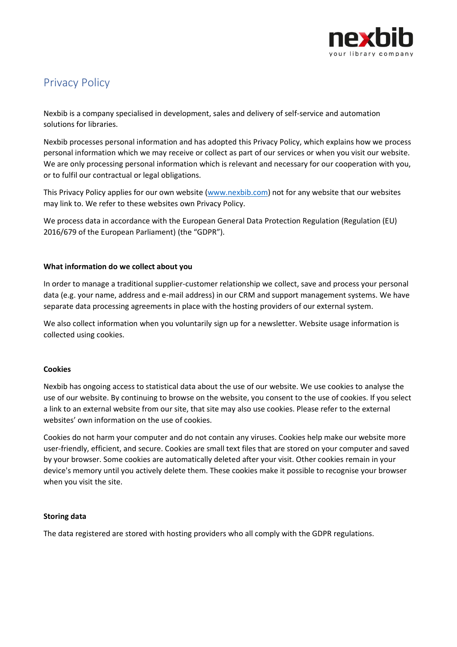

# Privacy Policy

Nexbib is a company specialised in development, sales and delivery of self-service and automation solutions for libraries.

Nexbib processes personal information and has adopted this Privacy Policy, which explains how we process personal information which we may receive or collect as part of our services or when you visit our website. We are only processing personal information which is relevant and necessary for our cooperation with you, or to fulfil our contractual or legal obligations.

This Privacy Policy applies for our own website [\(www.nexbib.com\)](http://www.nexbib.com/) not for any website that our websites may link to. We refer to these websites own Privacy Policy.

We process data in accordance with the European General Data Protection Regulation (Regulation (EU) 2016/679 of the European Parliament) (the "GDPR").

## **What information do we collect about you**

In order to manage a traditional supplier-customer relationship we collect, save and process your personal data (e.g. your name, address and e-mail address) in our CRM and support management systems. We have separate data processing agreements in place with the hosting providers of our external system.

We also collect information when you voluntarily sign up for a newsletter. Website usage information is collected using cookies.

## **Cookies**

Nexbib has ongoing access to statistical data about the use of our website. We use cookies to analyse the use of our website. By continuing to browse on the website, you consent to the use of cookies. If you select a link to an external website from our site, that site may also use cookies. Please refer to the external websites' own information on the use of cookies.

Cookies do not harm your computer and do not contain any viruses. Cookies help make our website more user-friendly, efficient, and secure. Cookies are small text files that are stored on your computer and saved by your browser. Some cookies are automatically deleted after your visit. Other cookies remain in your device's memory until you actively delete them. These cookies make it possible to recognise your browser when you visit the site.

#### **Storing data**

The data registered are stored with hosting providers who all comply with the GDPR regulations.